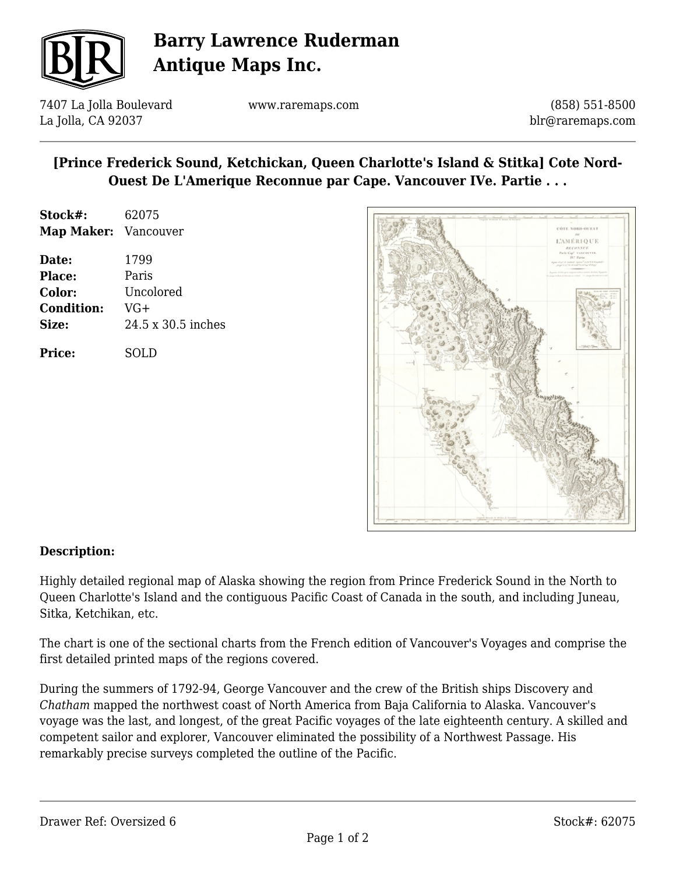

## **Barry Lawrence Ruderman Antique Maps Inc.**

7407 La Jolla Boulevard La Jolla, CA 92037

www.raremaps.com

(858) 551-8500 blr@raremaps.com

## **[Prince Frederick Sound, Ketchickan, Queen Charlotte's Island & Stitka] Cote Nord-Ouest De L'Amerique Reconnue par Cape. Vancouver IVe. Partie . . .**

| Stock#:              | 62075              |
|----------------------|--------------------|
| Map Maker: Vancouver |                    |
| Date:                | 1799               |
| <b>Place:</b>        | Paris              |
| Color:               | Uncolored          |
| <b>Condition:</b>    | $VG+$              |
| Size:                | 24.5 x 30.5 inches |

**Price:** SOLD



## **Description:**

Highly detailed regional map of Alaska showing the region from Prince Frederick Sound in the North to Queen Charlotte's Island and the contiguous Pacific Coast of Canada in the south, and including Juneau, Sitka, Ketchikan, etc.

The chart is one of the sectional charts from the French edition of Vancouver's Voyages and comprise the first detailed printed maps of the regions covered.

During the summers of 1792-94, George Vancouver and the crew of the British ships Discovery and *Chatham* mapped the northwest coast of North America from Baja California to Alaska. Vancouver's voyage was the last, and longest, of the great Pacific voyages of the late eighteenth century. A skilled and competent sailor and explorer, Vancouver eliminated the possibility of a Northwest Passage. His remarkably precise surveys completed the outline of the Pacific.